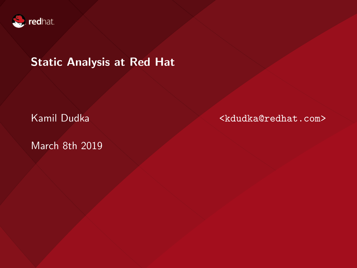

### Static Analysis at Red Hat

March 8th 2019

Kamil Dudka <kdudka@redhat.com>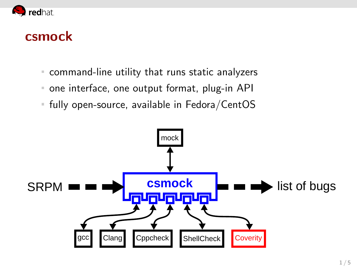

### csmock

- command-line utility that runs static analyzers  $\mathbb{R}^+$
- one interface, one output format, plug-in API  $\mathbb{R}^n$
- fully open-source, available in Fedora/CentOS

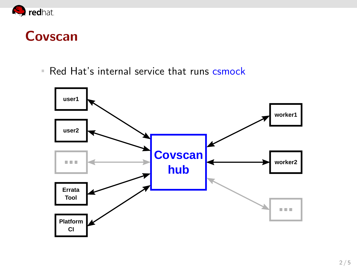

## Covscan

Red Hat's internal service that runs csmock

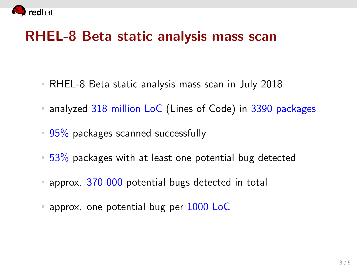

## RHEL-8 Beta static analysis mass scan

- RHEL-8 Beta static analysis mass scan in July 2018
- analyzed 318 million LoC (Lines of Code) in 3390 packages
- $95\%$  packages scanned successfully
- $=$  53% packages with at least one potential bug detected
- **approx. 370 000 potential bugs detected in total**
- approx. one potential bug per  $1000$  LoC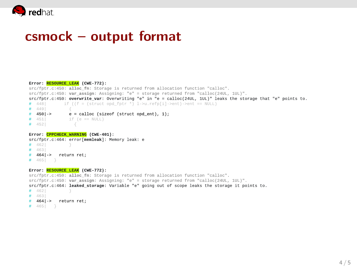

### csmock – output format

#### Error: RESOURCE LEAK (CWE-772): src/fptr.c:450: alloc\_fn: Storage is returned from allocation function "calloc". src/fptr.c:450: var\_assign: Assigning: "e" = storage returned from "calloc(24UL, 1UL)". src/fptr.c:450: overwrite\_var: Overwriting "e" in "e = calloc(24UL, 1UL)" leaks the storage that "e" points to.  $# 4481$ if ((f = (struct opd\_fptr \*) 1->u.refp[i]->ent)->ent == NULL)  $# 4491$  $e =$  calloc (size of (struct ond ent), 1):  $#$  450 ->  $# 451$ if  $(e == NULL)$  $# 4521$ Error: CPPCHECK WARNING (CWE-401): src/fptr.c:464: error[memleak]: Memory leak: e

 $# 462$  $# 463$ # 464|-> return ret;  $# 465$  }

### Error: RESOURCE\_LEAK (CWE-772):

```
src/fptr.c:450: alloc_fn: Storage is returned from allocation function "calloc".
src/fptr.c:450: var_assign: Assigning: "e" = storage returned from "calloc(24UL, 1UL)".
src/fptr.c:464: leaked_storage: Variable "e" going out of scope leaks the storage it points to
# 4621
# 4631# 4641-> return ret:
# 465 }
```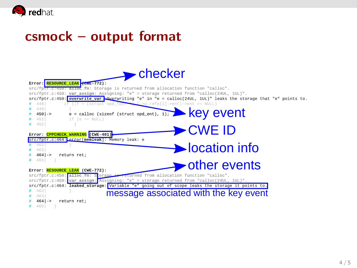

## csmock – output format

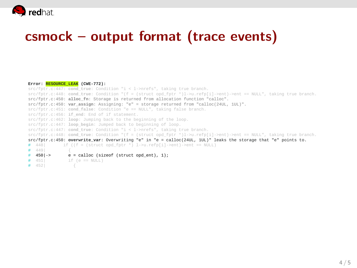

## csmock – output format (trace events)

#### **Error: RESOURCE\_LEAK (CWE-772):** src/fptr.c:447: **cond** true: Condition "i < 1->nrefs", taking true branch. src/fptr.c:448: **cond\_true**: Condition "(f = (struct opd\_fptr \*)l->u.refp[i]->ent)->ent == NULL", taking true branch. src/fptr.c:450: **alloc\_fn**: Storage is returned from allocation function "calloc". src/fptr.c:450: **var\_assign**: Assigning: "e" = storage returned from "calloc(24UL, 1UL)". src/fptr.c:451: **cond\_false**: Condition "e == NULL", taking false branch. src/fptr.c:456: **if\_end**: End of if statement. src/fptr.c:462: **loop**: Jumping back to the beginning of the loop. src/fptr.c:447: **loop\_begin**: Jumped back to beginning of loop. src/fptr.c:447: **cond\_true**: Condition "i < l->nrefs", taking true branch. src/fptr.c:448: **cond\_true**: Condition "(f = (struct opd\_fptr \*)l->u.refp[i]->ent)->ent == NULL", taking true branch. src/fptr.c:450: **overwrite\_var**: Overwriting "e" in "e = calloc(24UL, 1UL)" leaks the storage that "e" points to.  $\text{if } ((f = (\text{struct and } \text{fptr} \times) \text{ 1--}\text{curl}, \text{reffn[i]-}\text{cent})\text{-} \text{cent} == \text{NUL})$  $\begin{array}{cc} 4 & 449 \\ 4 & 4501 - & \end{array}$ # 450|-> e = calloc (sizeof (struct opd\_ent), 1);<br># 451 if (e == NULL)  $if (e == NULL)$ # 452| {

4 / 5